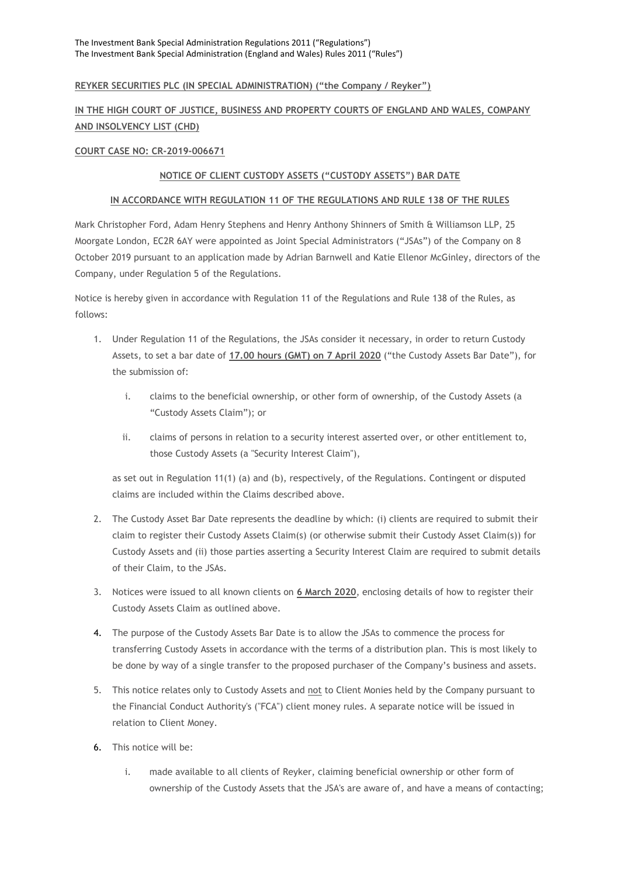## **REYKER SECURITIES PLC (IN SPECIAL ADMINISTRATION) ("the Company / Reyker")**

# **IN THE HIGH COURT OF JUSTICE, BUSINESS AND PROPERTY COURTS OF ENGLAND AND WALES, COMPANY AND INSOLVENCY LIST (CHD)**

#### **COURT CASE NO: CR-2019-006671**

## **NOTICE OF CLIENT CUSTODY ASSETS ("CUSTODY ASSETS") BAR DATE**

#### **IN ACCORDANCE WITH REGULATION 11 OF THE REGULATIONS AND RULE 138 OF THE RULES**

Mark Christopher Ford, Adam Henry Stephens and Henry Anthony Shinners of Smith & Williamson LLP, 25 Moorgate London, EC2R 6AY were appointed as Joint Special Administrators ("JSAs") of the Company on 8 October 2019 pursuant to an application made by Adrian Barnwell and Katie Ellenor McGinley, directors of the Company, under Regulation 5 of the Regulations.

Notice is hereby given in accordance with Regulation 11 of the Regulations and Rule 138 of the Rules, as follows:

- 1. Under Regulation 11 of the Regulations, the JSAs consider it necessary, in order to return Custody Assets, to set a bar date of **17.00 hours (GMT) on 7 April 2020** ("the Custody Assets Bar Date"), for the submission of:
	- i. claims to the beneficial ownership, or other form of ownership, of the Custody Assets (a "Custody Assets Claim"); or
	- ii. claims of persons in relation to a security interest asserted over, or other entitlement to, those Custody Assets (a "Security Interest Claim"),

as set out in Regulation 11(1) (a) and (b), respectively, of the Regulations. Contingent or disputed claims are included within the Claims described above.

- 2. The Custody Asset Bar Date represents the deadline by which: (i) clients are required to submit their claim to register their Custody Assets Claim(s) (or otherwise submit their Custody Asset Claim(s)) for Custody Assets and (ii) those parties asserting a Security Interest Claim are required to submit details of their Claim, to the JSAs.
- 3. Notices were issued to all known clients on **6 March 2020**, enclosing details of how to register their Custody Assets Claim as outlined above.
- 4. The purpose of the Custody Assets Bar Date is to allow the JSAs to commence the process for transferring Custody Assets in accordance with the terms of a distribution plan. This is most likely to be done by way of a single transfer to the proposed purchaser of the Company's business and assets.
- 5. This notice relates only to Custody Assets and not to Client Monies held by the Company pursuant to the Financial Conduct Authority's ("FCA") client money rules. A separate notice will be issued in relation to Client Money.
- 6. This notice will be:
	- i. made available to all clients of Reyker, claiming beneficial ownership or other form of ownership of the Custody Assets that the JSA's are aware of, and have a means of contacting;